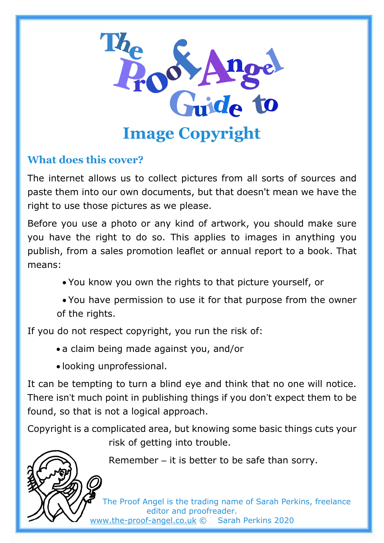

# **What does this cover?**

The internet allows us to collect pictures from all sorts of sources and paste them into our own documents, but that doesn't mean we have the right to use those pictures as we please.

Before you use a photo or any kind of artwork, you should make sure you have the right to do so. This applies to images in anything you publish, from a sales promotion leaflet or annual report to a book. That means:

• You know you own the rights to that picture yourself, or

• You have permission to use it for that purpose from the owner of the rights.

If you do not respect copyright, you run the risk of:

- a claim being made against you, and/or
- looking unprofessional.

It can be tempting to turn a blind eye and think that no one will notice. There isn't much point in publishing things if you don't expect them to be found, so that is not a logical approach.

Copyright is a complicated area, but knowing some basic things cuts your risk of getting into trouble.



Remember – it is better to be safe than sorry.

The Proof Angel is the trading name of Sarah Perkins, freelance editor and proofreader. [www.the-proof-angel.co.uk](http://www.the-proof-angel.co.uk/) © Sarah Perkins 2020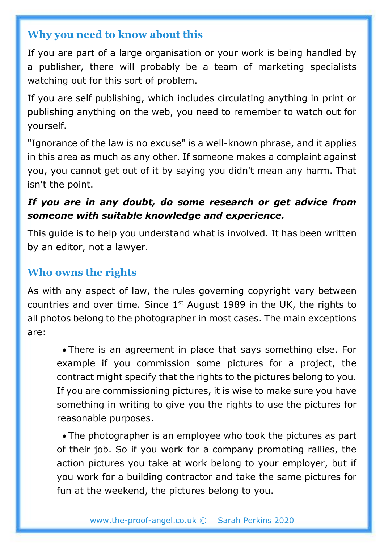#### **Why you need to know about this**

If you are part of a large organisation or your work is being handled by a publisher, there will probably be a team of marketing specialists watching out for this sort of problem.

If you are self publishing, which includes circulating anything in print or publishing anything on the web, you need to remember to watch out for yourself.

"Ignorance of the law is no excuse" is a well-known phrase, and it applies in this area as much as any other. If someone makes a complaint against you, you cannot get out of it by saying you didn't mean any harm. That isn't the point.

### *If you are in any doubt, do some research or get advice from someone with suitable knowledge and experience.*

This guide is to help you understand what is involved. It has been written by an editor, not a lawyer.

## **Who owns the rights**

As with any aspect of law, the rules governing copyright vary between countries and over time. Since  $1<sup>st</sup>$  August 1989 in the UK, the rights to all photos belong to the photographer in most cases. The main exceptions are:

• There is an agreement in place that says something else. For example if you commission some pictures for a project, the contract might specify that the rights to the pictures belong to you. If you are commissioning pictures, it is wise to make sure you have something in writing to give you the rights to use the pictures for reasonable purposes.

• The photographer is an employee who took the pictures as part of their job. So if you work for a company promoting rallies, the action pictures you take at work belong to your employer, but if you work for a building contractor and take the same pictures for fun at the weekend, the pictures belong to you.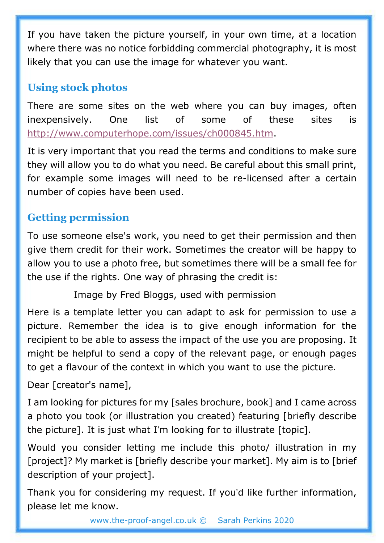If you have taken the picture yourself, in your own time, at a location where there was no notice forbidding commercial photography, it is most likely that you can use the image for whatever you want.

# **Using stock photos**

There are some sites on the web where you can buy images, often inexpensively. One list of some of these sites is [http://www.computerhope.com/issues/ch000845.htm.](http://www.computerhope.com/issues/ch000845.htm)

It is very important that you read the terms and conditions to make sure they will allow you to do what you need. Be careful about this small print, for example some images will need to be re-licensed after a certain number of copies have been used.

# **Getting permission**

To use someone else's work, you need to get their permission and then give them credit for their work. Sometimes the creator will be happy to allow you to use a photo free, but sometimes there will be a small fee for the use if the rights. One way of phrasing the credit is:

Image by Fred Bloggs, used with permission

Here is a template letter you can adapt to ask for permission to use a picture. Remember the idea is to give enough information for the recipient to be able to assess the impact of the use you are proposing. It might be helpful to send a copy of the relevant page, or enough pages to get a flavour of the context in which you want to use the picture.

Dear [creator's name],

I am looking for pictures for my [sales brochure, book] and I came across a photo you took (or illustration you created) featuring [briefly describe the picture]. It is just what I'm looking for to illustrate [topic].

Would you consider letting me include this photo/ illustration in my [project]? My market is [briefly describe your market]. My aim is to [brief description of your project].

Thank you for considering my request. If you'd like further information, please let me know.